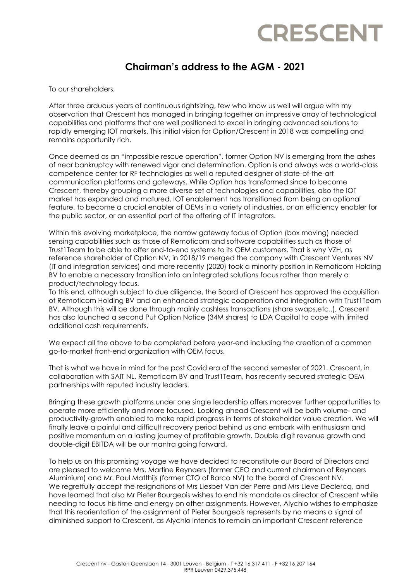## **CRESCENT**

## **Chairman's address to the AGM - 2021**

To our shareholders,

After three arduous years of continuous rightsizing, few who know us well will argue with my observation that Crescent has managed in bringing together an impressive array of technological capabilities and platforms that are well positioned to excel in bringing advanced solutions to rapidly emerging IOT markets. This initial vision for Option/Crescent in 2018 was compelling and remains opportunity rich.

Once deemed as an "impossible rescue operation", former Option NV is emerging from the ashes of near bankruptcy with renewed vigor and determination. Option is and always was a world-class competence center for RF technologies as well a reputed designer of state-of-the-art communication platforms and gateways. While Option has transformed since to become Crescent, thereby grouping a more diverse set of technologies and capabilities, also the IOT market has expanded and matured. IOT enablement has transitioned from being an optional feature, to become a crucial enabler of OEMs in a variety of industries, or an efficiency enabler for the public sector, or an essential part of the offering of IT integrators.

Within this evolving marketplace, the narrow gateway focus of Option (box moving) needed sensing capabilities such as those of Remoticom and software capabilities such as those of Trust1Team to be able to offer end-to-end systems to its OEM customers. That is why VZH, as reference shareholder of Option NV, in 2018/19 merged the company with Crescent Ventures NV (IT and integration services) and more recently (2020) took a minority position in Remoticom Holding BV to enable a necessary transition into an integrated solutions focus rather than merely a product/technology focus.

To this end, although subject to due diligence, the Board of Crescent has approved the acquisition of Remoticom Holding BV and an enhanced strategic cooperation and integration with Trust1Team BV. Although this will be done through mainly cashless transactions (share swaps,etc..), Crescent has also launched a second Put Option Notice (34M shares) to LDA Capital to cope with limited additional cash requirements.

We expect all the above to be completed before year-end including the creation of a common go-to-market front-end organization with OEM focus.

That is what we have in mind for the post Covid era of the second semester of 2021. Crescent, in collaboration with SAIT NL, Remoticom BV and Trust1Team, has recently secured strategic OEM partnerships with reputed industry leaders.

Bringing these growth platforms under one single leadership offers moreover further opportunities to operate more efficiently and more focused. Looking ahead Crescent will be both volume- and productivity-growth enabled to make rapid progress in terms of stakeholder value creation. We will finally leave a painful and difficult recovery period behind us and embark with enthusiasm and positive momentum on a lasting journey of profitable growth. Double digit revenue growth and double-digit EBITDA will be our mantra going forward.

To help us on this promising voyage we have decided to reconstitute our Board of Directors and are pleased to welcome Mrs. Martine Reynaers (former CEO and current chairman of Reynaers Aluminium) and Mr. Paul Matthijs (former CTO of Barco NV) to the board of Crescent NV. We regretfully accept the resignations of Mrs Liesbet Van der Perre and Mrs Lieve Declercq, and have learned that also Mr Pieter Bourgeois wishes to end his mandate as director of Crescent while needing to focus his time and energy on other assignments. However, Alychlo wishes to emphasize that this reorientation of the assignment of Pieter Bourgeois represents by no means a signal of diminished support to Crescent, as Alychlo intends to remain an important Crescent reference